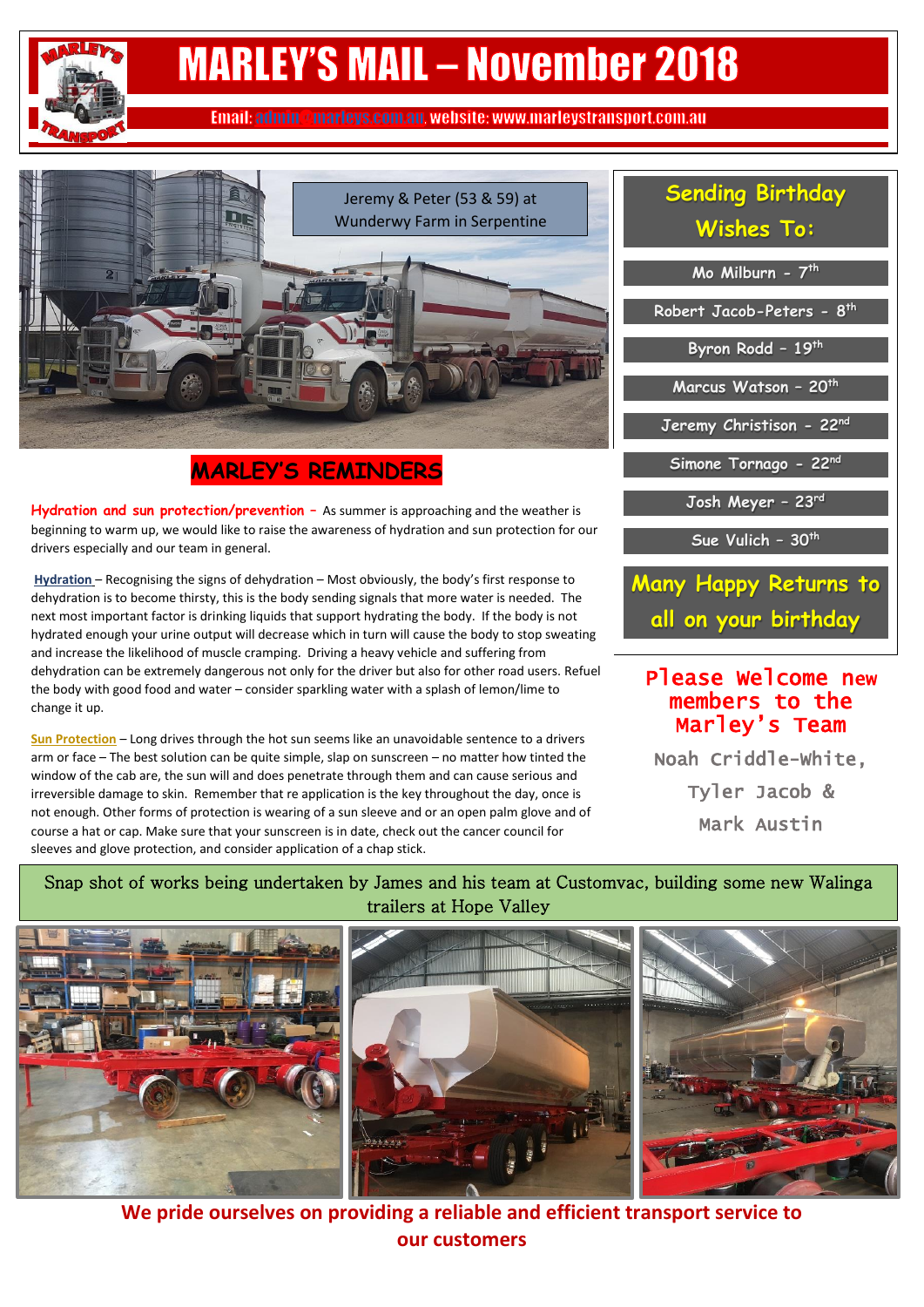# **MARLEY'S MAIL - November 2018**

Email: admin@marleys.com.au. website: www.marleystransport.com.au



## **MARLEY'S REMINDERS**

 beginning to warm up, we would like to raise the awareness of hydration and sun protection for our **Hydration and sun protection/prevention -** As summer is approaching and the weather is drivers especially and our team in general.

**Hydration** – Recognising the signs of dehydration – Most obviously, the body's first response to dehydration is to become thirsty, this is the body sending signals that more water is needed. The next most important factor is drinking liquids that support hydrating the body. If the body is not hydrated enough your urine output will decrease which in turn will cause the body to stop sweating and increase the likelihood of muscle cramping. Driving a heavy vehicle and suffering from dehydration can be extremely dangerous not only for the driver but also for other road users. Refuel the body with good food and water – consider sparkling water with a splash of lemon/lime to change it up.

**Sun Protection** – Long drives through the hot sun seems like an unavoidable sentence to a drivers arm or face – The best solution can be quite simple, slap on sunscreen – no matter how tinted the window of the cab are, the sun will and does penetrate through them and can cause serious and irreversible damage to skin. Remember that re application is the key throughout the day, once is not enough. Other forms of protection is wearing of a sun sleeve and or an open palm glove and of course a hat or cap. Make sure that your sunscreen is in date, check out the cancer council for sleeves and glove protection, and consider application of a chap stick.

# **Sending Birthday Wishes To:**

**Mo Milburn - 7 th Robert Jacob-Peters - 8 th Byron Rodd – 19th Marcus Watson – 20th Jeremy Christison - 22nd Simone Tornago - 22nd Josh Meyer – 23rd Sue Vulich – 30th**

**Many Happy Returns to all on your birthday**

### Please Welcome new members to the Marley's Team

Noah Criddle-White, Tyler Jacob & Mark Austin

J.

#### Snap shot of works being undertaken by James and his team at Customvac, building some new Walinga trailers at Hope Valley



**We pride ourselves on providing a reliable and efficient transport service to our customers**